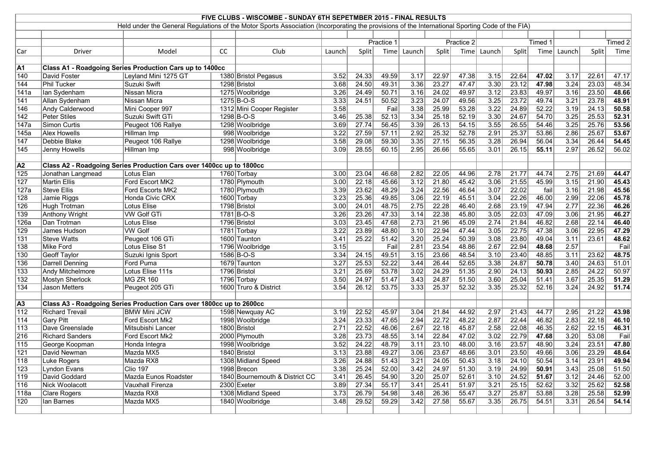|                          |                               |                                                                                                                                                 |    | FIVE CLUBS - WISCOMBE - SUNDAY 6TH SEPETMBER 2015 - FINAL RESULTS |        |            |       |                   |       |            |        |       |         |             |       |       |
|--------------------------|-------------------------------|-------------------------------------------------------------------------------------------------------------------------------------------------|----|-------------------------------------------------------------------|--------|------------|-------|-------------------|-------|------------|--------|-------|---------|-------------|-------|-------|
|                          |                               | Held under the General Regulations of the Motor Sports Association (Incorporating the provisions of the International Sporting Code of the FIA) |    |                                                                   |        |            |       |                   |       |            |        |       |         |             |       |       |
|                          |                               |                                                                                                                                                 |    |                                                                   |        |            |       |                   |       |            |        |       |         |             |       |       |
|                          |                               |                                                                                                                                                 |    |                                                                   |        | Practice 1 |       |                   |       | Practice 2 |        |       | Timed 1 | Timed 2     |       |       |
| Car                      | Driver                        | Model                                                                                                                                           | cc | Club                                                              | Launch | Split      | Time  | Launch            | Split | Time       | Launch | Split |         | Time Launch | Split | Time  |
|                          |                               |                                                                                                                                                 |    |                                                                   |        |            |       |                   |       |            |        |       |         |             |       |       |
| А1                       |                               | Class A1 - Roadgoing Series Production Cars up to 1400cc                                                                                        |    |                                                                   |        |            |       |                   |       |            |        |       |         |             |       |       |
| 140                      | David Foster                  | Leyland Mini 1275 GT                                                                                                                            |    | 1380 Bristol Pegasus                                              | 3.52   | 24.33      | 49.59 | $\overline{3.17}$ | 22.97 | 47.38      | 3.15   | 22.64 | 47.02   | 3.17        | 22.61 | 47.17 |
| 144                      | <b>Phil Tucker</b>            | Suzuki Swift                                                                                                                                    |    | 1298 Bristol                                                      | 3.68   | 24.50      | 49.31 | 3.36              | 23.27 | 47.47      | 3.30   | 23.12 | 47.98   | 3.24        | 23.03 | 48.34 |
| 141a                     | lan Sydenham                  | Nissan Micra                                                                                                                                    |    | 1275 Woolbridge                                                   | 3.26   | 24.49      | 50.71 | 3.16              | 24.02 | 49.97      | 3.12   | 23.83 | 49.97   | 3.16        | 23.50 | 48.66 |
| 141                      | Allan Sydenham                | Nissan Micra                                                                                                                                    |    | $1275B - 0-S$                                                     | 3.33   | 24.51      | 50.52 | $\overline{3.23}$ | 24.07 | 49.56      | 3.25   | 23.72 | 49.74   | 3.21        | 23.78 | 48.91 |
| 146                      | <b>Andy Calderwood</b>        | Mini Cooper 997                                                                                                                                 |    | 1312 Mini Cooper Register                                         | 3.58   |            | Fail  | $3.38$            | 25.99 | 53.28      | 3.22   | 24.89 | 52.22   | 3.19        | 24.13 | 50.58 |
| 142                      | <b>Peter Stiles</b>           | Suzuki Swift GTi                                                                                                                                |    | $1298$ B-O-S                                                      | 3.46   | 25.38      | 52.13 | 3.34              | 25.18 | 52.19      | 3.30   | 24.67 | 54.70   | 3.25        | 25.53 | 52.31 |
| 147a                     | Simon Curtis                  | Peugeot 106 Rallye                                                                                                                              |    | 1298 Woolbridge                                                   | 3.69   | 27.74      | 56.45 | 3.39              | 26.13 | 54.15      | 3.55   | 26.55 | 54.46   | 3.25        | 25.76 | 53.56 |
| 145a                     | <b>Alex Howells</b>           | Hillman Imp                                                                                                                                     |    | 998 Woolbridge                                                    | 3.22   | 27.59      | 57.11 | 2.92              | 25.32 | 52.78      | 2.91   | 25.37 | 53.86   | 2.86        | 25.67 | 53.67 |
| 147                      | Debbie Blake                  | Peugeot 106 Rallye                                                                                                                              |    | 1298 Woolbridge                                                   | 3.58   | 29.08      | 59.30 | $3.35$            | 27.15 | 56.35      | 3.28   | 26.94 | 56.04   | 3.34        | 26.44 | 54.45 |
| 145                      | Jenny Howells                 | Hillman Imp                                                                                                                                     |    | 998 Woolbridge                                                    | 3.09   | 28.55      | 60.15 | 2.95              | 26.66 | 55.65      | 3.01   | 26.15 | 55.11   | 2.97        | 26.52 | 56.02 |
|                          |                               |                                                                                                                                                 |    |                                                                   |        |            |       |                   |       |            |        |       |         |             |       |       |
| $\overline{A2}$          |                               | Class A2 - Roadgoing Series Production Cars over 1400cc up to 1800cc                                                                            |    |                                                                   |        |            |       |                   |       |            |        |       |         |             |       |       |
| 125                      | Jonathan Langmead             | Lotus Elan                                                                                                                                      |    | 1760 Torbay                                                       | 3.00   | 23.04      | 46.68 | 2.82              | 22.05 | 44.96      | 2.78   | 21.77 | 44.74   | 2.75        | 21.69 | 44.47 |
| 127                      | <b>Martin Ellis</b>           | Ford Escort MK2                                                                                                                                 |    | 1780 Plymouth                                                     | 3.00   | 22.18      | 45.66 | $\overline{3.12}$ | 21.80 | 45.42      | 3.06   | 21.55 | 45.99   | 3.15        | 21.90 | 45.43 |
| 127a                     | <b>Steve Ellis</b>            | <b>Ford Escorts MK2</b>                                                                                                                         |    | 1780 Plymouth                                                     | 3.39   | 23.62      | 48.29 | 3.24              | 22.56 | 46.64      | 3.07   | 22.02 | fail    | 3.16        | 21.98 | 45.56 |
| 128                      | Jamie Riggs                   | Honda Civic CRX                                                                                                                                 |    | 1600 Torbay                                                       | 3.23   | 25.36      | 49.85 | 3.06              | 22.19 | 45.51      | 3.04   | 22.26 | 46.00   | 2.99        | 22.06 | 45.78 |
| 126                      | Hugh Trotman                  | Lotus Elise                                                                                                                                     |    | 1798 Bristol                                                      | 3.00   | 24.01      | 48.75 | 2.75              | 22.28 | 46.40      | 2.68   | 23.19 | 47.94   | 2.77        | 22.36 | 46.26 |
| 139                      | <b>Anthony Wright</b>         | <b>VW Golf GTi</b>                                                                                                                              |    | 1781 B-O-S                                                        | 3.26   | 23.26      | 47.33 | 3.14              | 22.38 | 45.80      | 3.05   | 22.03 | 47.09   | 3.06        | 21.95 | 46.27 |
| 126a                     | Dan Trotman                   | Lotus Elise                                                                                                                                     |    | 1796 Bristol                                                      | 3.03   | 23.45      | 47.68 | 2.73              | 21.96 | 45.09      | 2.74   | 21.84 | 46.82   | 2.68        | 22.14 | 46.40 |
| 129                      | James Hudson                  | <b>VW Golf</b>                                                                                                                                  |    | 1781 Torbay                                                       | 3.22   | 23.89      | 48.80 | 3.10              | 22.94 | 47.44      | 3.05   | 22.75 | 47.38   | 3.06        | 22.95 | 47.29 |
| 131                      | <b>Steve Watts</b>            | Peugeot 106 GTi                                                                                                                                 |    | 1600 Taunton                                                      | 3.41   | 25.22      | 51.42 | 3.20              | 25.24 | 50.39      | 3.08   | 23.80 | 49.04   | 3.11        | 23.61 | 48.62 |
| 138                      | <b>Mike Ford</b>              | Lotus Elise S1                                                                                                                                  |    | 1796 Woolbridge                                                   | 3.15   |            | Fail  | 2.81              | 23.54 | 48.86      | 2.67   | 22.94 | 48.68   | 2.57        |       | Fail  |
| 130                      | <b>Geoff Taylor</b>           | Suzuki Ignis Sport                                                                                                                              |    | 1586 B-O-S                                                        | 3.34   | 24.15      | 49.51 | 3.15              | 23.66 | 48.54      | 3.10   | 23.40 | 48.85   | 3.11        | 23.62 | 48.75 |
| 136                      | Darrell Denning               | Ford Puma                                                                                                                                       |    | 1679 Taunton                                                      | 3.27   | 25.53      | 52.22 | $3.44$            | 26.44 | 52.65      | 3.38   | 24.87 | 50.78   | 3.40        | 24.63 | 51.01 |
| 133                      | Andy Mitchelmore              | Lotus Elise 111s                                                                                                                                |    | 1796 Bristol                                                      | 3.21   | 25.69      | 53.78 | 3.02              | 24.29 | 51.35      | 2.90   | 24.13 | 50.93   | 2.85        | 24.22 | 50.97 |
| 132                      | <b>Mostyn Sherlock</b>        | <b>MG ZR 160</b>                                                                                                                                |    | 1796 Torbay                                                       | 3.50   | 24.97      | 51.47 | $3.43$            | 24.87 | 51.50      | 3.60   | 25.04 | 51.41   | 3.67        | 25.35 | 51.29 |
| 134                      | Jason Metters                 | Peugeot 205 GTi                                                                                                                                 |    | 1600 Truro & District                                             | 3.54   | 26.12      | 53.75 | 3.33              | 25.37 | 52.32      | 3.35   | 25.32 | 52.16   | 3.24        | 24.92 | 51.74 |
|                          |                               |                                                                                                                                                 |    |                                                                   |        |            |       |                   |       |            |        |       |         |             |       |       |
| A3                       |                               | Class A3 - Roadgoing Series Production Cars over 1800cc up to 2600cc                                                                            |    |                                                                   |        |            |       |                   |       |            |        |       |         |             |       |       |
| $\overline{112}$         | <b>Richard Trevail</b>        | <b>BMW Mini JCW</b>                                                                                                                             |    | 1598 Newquay AC                                                   | 3.19   | 22.52      | 45.97 | 3.04              | 21.84 | 44.92      | 2.97   | 21.43 | 44.77   | 2.95        | 21.22 | 43.98 |
| 114                      | <b>Gary Pitt</b>              | <b>Ford Escort Mk2</b>                                                                                                                          |    | 1998 Woolbridge                                                   | 3.24   | 23.33      | 47.65 | 2.94              | 22.72 | 48.22      | 2.87   | 22.44 | 46.82   | 2.83        | 22.18 | 46.10 |
| 113                      | Dave Greenslade               | Mitsubishi Lancer                                                                                                                               |    | 1800 Bristol                                                      | 2.71   | 22.52      | 46.06 | 2.67              | 22.18 | 45.87      | 2.58   | 22.08 | 46.35   | 2.62        | 22.15 | 46.31 |
| 216                      | <b>Richard Sanders</b>        | Ford Escort Mk2                                                                                                                                 |    | 2000 Plymouth                                                     | 3.28   | 23.73      | 48.55 | 3.14              | 22.84 | 47.02      | 3.02   | 22.79 | 47.68   | 3.20        | 53.08 | Fail  |
| 115                      | George Koopman                | Honda Integra                                                                                                                                   |    | 1998 Woolbridge                                                   | 3.52   | 24.22      | 48.79 | 3.11              | 23.10 | 48.00      | 3.16   | 23.57 | 48.90   | 3.24        | 23.51 | 47.80 |
| 121                      | David Newman                  | Mazda MX5                                                                                                                                       |    | 1840 Bristol                                                      | 3.13   | 23.88      | 49.27 | 3.06              | 23.67 | 48.66      | 3.01   | 23.50 | 49.66   | 3.06        | 23.29 | 48.64 |
| 118                      | Luke Rogers                   | Mazda RX8                                                                                                                                       |    | 1308 Midland Speed                                                | 3.26   | 24.88      | 51.43 | $3.21$            | 24.05 | 50.43      | 3.18   | 24.10 | 50.54   | 3.14        | 23.91 | 49.94 |
| 123                      |                               | Clio 197                                                                                                                                        |    | 1998 Brecon                                                       | 3.38   | 25.24      | 52.00 | 3.42              | 24.97 | 51.30      | 3.19   | 24.99 | 50.91   | 3.43        | 25.08 | 51.50 |
| 119                      | Lyndon Evans<br>David Goddard | Mazda Eunos Roadster                                                                                                                            |    |                                                                   | 3.41   | 26.45      | 54.90 | 3.20              | 25.07 | 52.61      | 3.10   | 24.52 | 51.67   | 3.12        | 24.46 | 52.00 |
|                          |                               |                                                                                                                                                 |    | 1840 Bournemouth & District CC                                    |        |            |       |                   |       |            |        |       |         |             |       | 52.58 |
| 116                      | Nick Woolacott                | Vauxhall Firenza                                                                                                                                |    | 2300 Exeter                                                       | 3.89   | 27.34      | 55.17 | $3.41$            | 25.41 | 51.97      | 3.21   | 25.15 | 52.62   | 3.32        | 25.62 |       |
| 118a<br>$\overline{120}$ | <b>Clare Rogers</b>           | Mazda RX8                                                                                                                                       |    | 1308 Midland Speed                                                | 3.73   | 26.79      | 54.98 | $3.48$            | 26.36 | 55.47      | 3.27   | 25.87 | 53.88   | 3.28        | 25.58 | 52.99 |
|                          | lan Barnes                    | Mazda MX5                                                                                                                                       |    | 1840 Woolbridge                                                   | 3.48   | 29.52      | 59.29 | $\overline{3.42}$ | 27.58 | 55.67      | 3.35   | 26.75 | 54.51   | 3.31        | 26.54 | 54.14 |
|                          |                               |                                                                                                                                                 |    |                                                                   |        |            |       |                   |       |            |        |       |         |             |       |       |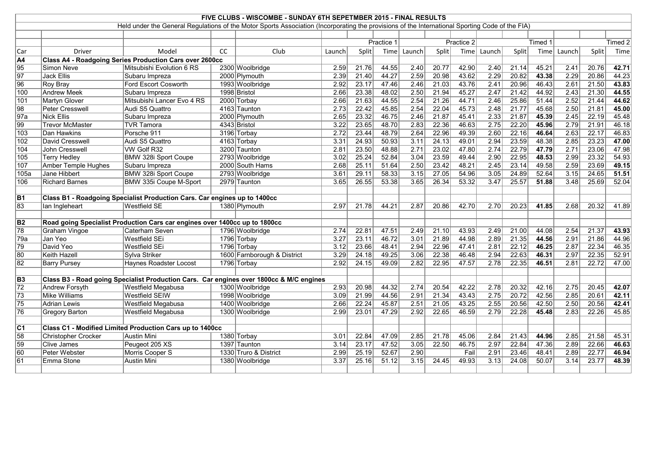|                  |                                                          |                                                                                                                                                 |           | FIVE CLUBS - WISCOMBE - SUNDAY 6TH SEPETMBER 2015 - FINAL RESULTS |        |       |            |                   |       |            |        |       |         |             |       |         |
|------------------|----------------------------------------------------------|-------------------------------------------------------------------------------------------------------------------------------------------------|-----------|-------------------------------------------------------------------|--------|-------|------------|-------------------|-------|------------|--------|-------|---------|-------------|-------|---------|
|                  |                                                          | Held under the General Regulations of the Motor Sports Association (Incorporating the provisions of the International Sporting Code of the FIA) |           |                                                                   |        |       |            |                   |       |            |        |       |         |             |       |         |
|                  |                                                          |                                                                                                                                                 |           |                                                                   |        |       |            |                   |       |            |        |       |         |             |       |         |
|                  |                                                          |                                                                                                                                                 |           |                                                                   |        |       | Practice 1 |                   |       | Practice 2 |        |       | Timed 1 |             |       | Timed 2 |
| Car              | <b>Driver</b>                                            | Model                                                                                                                                           | <b>CC</b> | Club                                                              | Launch | Split | Timel      | Launch            | Split | Timel      | Launch | Split |         | Time Launch | Split | Time    |
| A4               |                                                          | <b>Class A4 - Roadgoing Series Production Cars over 2600cc</b>                                                                                  |           |                                                                   |        |       |            |                   |       |            |        |       |         |             |       |         |
| $\overline{95}$  | Simon Neve                                               | Mitsubishi Evolution 6 RS                                                                                                                       |           | 2300 Woolbridge                                                   | 2.59   | 21.76 | 44.55      | 2.40              | 20.77 | 42.90      | 2.40   | 21.14 | 45.21   | 2.41        | 20.76 | 42.71   |
| $\overline{97}$  | Jack Ellis                                               | Subaru Impreza                                                                                                                                  |           | 2000 Plymouth                                                     | 2.39   | 21.40 | 44.27      | 2.59              | 20.98 | 43.62      | 2.29   | 20.82 | 43.38   | 2.29        | 20.86 | 44.23   |
| 96               | <b>Roy Bray</b>                                          | <b>Ford Escort Cosworth</b>                                                                                                                     |           | 1993 Woolbridge                                                   | 2.92   | 23.17 | 47.46      | 2.46              | 21.03 | 43.76      | 2.41   | 20.96 | 46.43   | 2.61        | 21.50 | 43.83   |
| 100              | <b>Andrew Meek</b>                                       | Subaru Impreza                                                                                                                                  |           | 1998 Bristol                                                      | 2.66   | 23.38 | 48.02      | 2.50              | 21.94 | 45.27      | 2.47   | 21.42 | 44.92   | 2.43        | 21.30 | 44.55   |
| 101              | Martyn Glover                                            | Mitsubishi Lancer Evo 4 RS                                                                                                                      |           | 2000 Torbay                                                       | 2.66   | 21.63 | 44.55      | 2.54              | 21.26 | 44.71      | 2.46   | 25.86 | 51.44   | 2.52        | 21.44 | 44.62   |
| 98               | <b>Peter Cresswell</b>                                   | Audi S5 Quattro                                                                                                                                 |           | 4163 Taunton                                                      | 2.73   | 22.42 | 45.85      | 2.54              | 22.04 | 45.73      | 2.48   | 21.77 | 45.68   | 2.50        | 21.81 | 45.00   |
| $\overline{97a}$ | <b>Nick Ellis</b>                                        | Subaru Impreza                                                                                                                                  |           | 2000 Plymouth                                                     | 2.65   | 23.32 | 46.75      | $\overline{2.46}$ | 21.87 | 45.41      | 2.33   | 21.87 | 45.39   | 2.45        | 22.19 | 45.48   |
| 99               | <b>Trevor McMaster</b>                                   | <b>TVR Tamora</b>                                                                                                                               |           | 4343 Bristol                                                      | 3.22   | 23.65 | 48.70      | 2.83              | 22.36 | 46.63      | 2.75   | 22.20 | 45.96   | 2.79        | 21.91 | 46.18   |
| 103              | Dan Hawkins                                              | Porsche 911                                                                                                                                     |           | 3196 Torbay                                                       | 2.72   | 23.44 | 48.79      | $\overline{2.64}$ | 22.96 | 49.39      | 2.60   | 22.16 | 46.64   | 2.63        | 22.17 | 46.83   |
| 102              | David Cresswell                                          | Audi S5 Quattro                                                                                                                                 |           | 4163 Torbay                                                       | 3.31   | 24.93 | 50.93      | 3.11              | 24.13 | 49.01      | 2.94   | 23.59 | 48.38   | 2.85        | 23.23 | 47.00   |
| 104              | John Cresswell                                           | <b>VW Golf R32</b>                                                                                                                              |           | 3200 Taunton                                                      | 2.81   | 23.50 | 48.88      | 2.71              | 23.02 | 47.80      | 2.74   | 22.79 | 47.79   | 2.71        | 23.06 | 47.98   |
| 105              | <b>Terry Hedley</b>                                      | <b>BMW 328i Sport Coupe</b>                                                                                                                     |           | 2793 Woolbridge                                                   | 3.02   | 25.24 | 52.84      | 3.04              | 23.59 | 49.44      | 2.90   | 22.95 | 48.53   | 2.99        | 23.32 | 54.93   |
| 107              | Amber Temple Hughes                                      | Subaru Impreza                                                                                                                                  |           | 2000 South Hams                                                   | 2.68   | 25.11 | 51.64      | $\overline{2.50}$ | 23.42 | 48.21      | 2.45   | 23.14 | 49.58   | 2.59        | 23.69 | 49.15   |
| 105a             | Jane Hibbert                                             | BMW 328i Sport Coupe                                                                                                                            |           | 2793 Woolbridge                                                   | 3.61   | 29.11 | 58.33      | $\overline{3.15}$ | 27.05 | 54.96      | 3.05   | 24.89 | 52.64   | 3.15        | 24.65 | 51.51   |
| 106              | Richard Barnes                                           | BMW 335i Coupe M-Sport                                                                                                                          |           | 2979 Taunton                                                      | 3.65   | 26.55 | 53.38      | 3.65              | 26.34 | 53.32      | 3.47   | 25.57 | 51.88   | 3.48        | 25.69 | 52.04   |
|                  |                                                          |                                                                                                                                                 |           |                                                                   |        |       |            |                   |       |            |        |       |         |             |       |         |
| $\overline{B1}$  |                                                          | Class B1 - Roadgoing Specialist Production Cars. Car engines up to 1400cc                                                                       |           |                                                                   |        |       |            |                   |       |            |        |       |         |             |       |         |
| $\overline{83}$  | lan Ingleheart                                           | Westfield SE                                                                                                                                    |           | 1380 Plymouth                                                     | 2.97   | 21.78 | 44.21      | 2.87              | 20.86 | 42.70      | 2.70   | 20.23 | 41.85   | 2.68        | 20.32 | 41.89   |
|                  |                                                          |                                                                                                                                                 |           |                                                                   |        |       |            |                   |       |            |        |       |         |             |       |         |
| $\overline{B2}$  |                                                          | Road going Specialist Production Cars car engines over 1400cc up to 1800cc                                                                      |           |                                                                   |        |       |            |                   |       |            |        |       |         |             |       |         |
| $\overline{78}$  | <b>Graham Vingoe</b>                                     | Caterham Seven                                                                                                                                  |           | 1796 Woolbridge                                                   | 2.74   | 22.81 | 47.51      | 2.49              | 21.10 | 43.93      | 2.49   | 21.00 | 44.08   | 2.54        | 21.37 | 43.93   |
| 79a              | Jan Yeo                                                  | <b>Westfield SEi</b>                                                                                                                            |           | 1796 Torbay                                                       | 3.27   | 23.11 | 46.72      | 3.01              | 21.89 | 44.98      | 2.89   | 21.35 | 44.56   | 2.91        | 21.86 | 44.96   |
| $\overline{79}$  | David Yeo                                                | <b>Westfield SEi</b>                                                                                                                            |           | 1796 Torbay                                                       | 3.12   | 23.66 | 48.41      | 2.94              | 22.96 | 47.41      | 2.81   | 22.12 | 46.25   | 2.87        | 22.34 | 46.35   |
| $\overline{80}$  | Keith Hazell                                             | Sylva Striker                                                                                                                                   |           | 1600 Farnborough & District                                       | 3.29   | 24.18 | 49.25      | 3.06              | 22.38 | 46.48      | 2.94   | 22.63 | 46.31   | 2.97        | 22.35 | 52.91   |
| $\overline{82}$  | <b>Barry Pursey</b>                                      | <b>Haynes Roadster Locost</b>                                                                                                                   |           | 1796 Torbay                                                       | 2.92   | 24.15 | 49.09      | 2.82              | 22.95 | 47.57      | 2.78   | 22.35 | 46.51   | 2.81        | 22.72 | 47.00   |
|                  |                                                          |                                                                                                                                                 |           |                                                                   |        |       |            |                   |       |            |        |       |         |             |       |         |
| $\overline{B3}$  |                                                          | Class B3 - Road going Specialist Production Cars. Car engines over 1800cc & M/C engines                                                         |           |                                                                   |        |       |            |                   |       |            |        |       |         |             |       |         |
| $\overline{72}$  | <b>Andrew Forsyth</b>                                    | <b>Westfield Megabusa</b>                                                                                                                       |           | 1300 Woolbridge                                                   | 2.93   | 20.98 | 44.32      | 2.74              | 20.54 | 42.22      | 2.78   | 20.32 | 42.16   | 2.75        | 20.45 | 42.07   |
| $\overline{73}$  | <b>Mike Williams</b>                                     | <b>Westfield SEIW</b>                                                                                                                           |           | 1998 Woolbridge                                                   | 3.09   | 21.99 | 44.56      | 2.91              | 21.34 | 43.43      | 2.75   | 20.72 | 42.56   | 2.85        | 20.61 | 42.11   |
| $\overline{75}$  | <b>Adrian Lewis</b>                                      | <b>Westfield Megabusa</b>                                                                                                                       |           | 1400 Woolbridge                                                   | 2.66   | 22.24 | 45.87      | 2.51              | 21.05 | 43.25      | 2.55   | 20.56 | 42.50   | 2.50        | 20.56 | 42.41   |
| $\overline{76}$  | Gregory Barton                                           | Westfield Megabusa                                                                                                                              |           | 1300 Woolbridge                                                   | 2.99   | 23.01 | 47.29      | 2.92              | 22.65 | 46.59      | 2.79   | 22.28 | 45.48   | 2.83        | 22.26 | 45.85   |
|                  |                                                          |                                                                                                                                                 |           |                                                                   |        |       |            |                   |       |            |        |       |         |             |       |         |
| $\overline{C1}$  | Class C1 - Modified Limited Production Cars up to 1400cc |                                                                                                                                                 |           |                                                                   |        |       |            |                   |       |            |        |       |         |             |       |         |
| $\overline{58}$  | Christopher Crocker                                      | Austin Mini                                                                                                                                     |           | 1380 Torbay                                                       | 3.01   | 22.84 | 47.09      | 2.85              | 21.78 | 45.06      | 2.84   | 21.43 | 44.96   | 2.85        | 21.58 | 45.31   |
| 59               | <b>Clive James</b>                                       | Peugeot 205 XS                                                                                                                                  |           | 1397 Taunton                                                      | 3.14   | 23.17 | 47.52      | 3.05              | 22.50 | 46.75      | 2.97   | 22.84 | 47.36   | 2.89        | 22.66 | 46.63   |
| $\overline{60}$  | Peter Webster                                            | Morris Cooper S                                                                                                                                 |           | 1330 Truro & District                                             | 2.99   | 25.19 | 52.67      | 2.90              |       | Fail       | 2.91   | 23.46 | 48.41   | 2.89        | 22.77 | 46.94   |
| $\overline{61}$  | Emma Stone                                               | Austin Mini                                                                                                                                     |           | 1380 Woolbridge                                                   | 3.37   | 25.16 | 51.12      | $\overline{3.15}$ | 24.45 | 49.93      | 3.13   | 24.08 | 50.07   | 3.14        | 23.77 | 48.39   |
|                  |                                                          |                                                                                                                                                 |           |                                                                   |        |       |            |                   |       |            |        |       |         |             |       |         |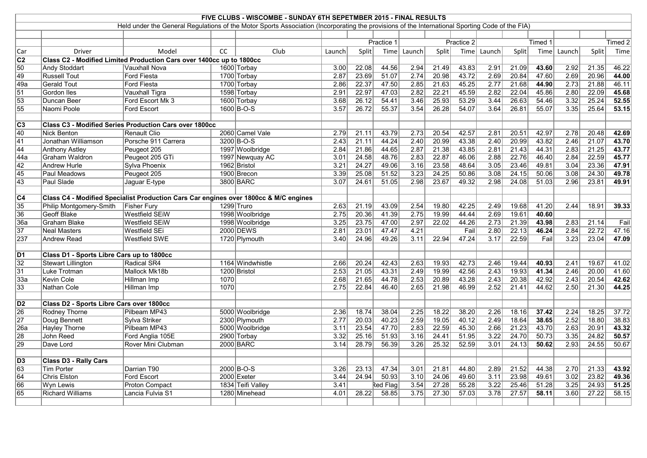|                  | FIVE CLUBS - WISCOMBE - SUNDAY 6TH SEPETMBER 2015 - FINAL RESULTS |                                                                                                                                                 |           |                   |                   |       |                 |                   |       |            |        |       |         |             |       |         |  |
|------------------|-------------------------------------------------------------------|-------------------------------------------------------------------------------------------------------------------------------------------------|-----------|-------------------|-------------------|-------|-----------------|-------------------|-------|------------|--------|-------|---------|-------------|-------|---------|--|
|                  |                                                                   | Held under the General Regulations of the Motor Sports Association (Incorporating the provisions of the International Sporting Code of the FIA) |           |                   |                   |       |                 |                   |       |            |        |       |         |             |       |         |  |
|                  |                                                                   |                                                                                                                                                 |           |                   |                   |       |                 |                   |       |            |        |       |         |             |       |         |  |
|                  |                                                                   |                                                                                                                                                 |           |                   |                   |       | Practice 1      |                   |       | Practice 2 |        |       | Timed 1 |             |       | Timed 2 |  |
| Car              | <b>Driver</b>                                                     | Model                                                                                                                                           | <b>CC</b> | Club              | Launch            | Split |                 | Time Launch       | Split | Time       | Launch | Split |         | Time Launch | Split | Time    |  |
| $\overline{C2}$  |                                                                   | Class C2 - Modified Limited Production Cars over 1400cc up to 1800cc                                                                            |           |                   |                   |       |                 |                   |       |            |        |       |         |             |       |         |  |
| 50               | <b>Andy Stoddart</b>                                              | Vauxhall Nova                                                                                                                                   |           | 1600 Torbay       | 3.00              | 22.08 | 44.56           | 2.94              | 21.49 | 43.83      | 2.91   | 21.09 | 43.60   | 2.92        | 21.35 | 46.22   |  |
| 49               | <b>Russell Tout</b>                                               | Ford Fiesta                                                                                                                                     |           | 1700 Torbay       | 2.87              | 23.69 | 51.07           | 2.74              | 20.98 | 43.72      | 2.69   | 20.84 | 47.60   | 2.69        | 20.96 | 44.00   |  |
| 49a              | <b>Gerald Tout</b>                                                | <b>Ford Fiesta</b>                                                                                                                              |           | 1700 Torbay       | 2.86              | 22.37 | 47.50           | 2.85              | 21.63 | 45.25      | 2.77   | 21.68 | 44.90   | 2.73        | 21.88 | 46.11   |  |
| $\overline{51}$  | Gordon Iles                                                       | Vauxhall Tigra                                                                                                                                  |           | 1598 Torbay       | 2.91              | 22.97 | 47.03           | $\overline{2.82}$ | 22.21 | 45.59      | 2.82   | 22.04 | 45.86   | 2.80        | 22.09 | 45.68   |  |
| 53               | Duncan Beer                                                       | Ford Escort Mk 3                                                                                                                                |           | 1600 Torbay       | 3.68              | 26.12 | 54.41           | $\overline{3.46}$ | 25.93 | 53.29      | 3.44   | 26.63 | 54.46   | 3.32        | 25.24 | 52.55   |  |
| 55               | Naomi Poole                                                       | <b>Ford Escort</b>                                                                                                                              |           | $1600 B-O-S$      | 3.57              | 26.72 | 55.37           | 3.54              | 26.28 | 54.07      | 3.64   | 26.81 | 55.07   | 3.35        | 25.64 | 53.15   |  |
|                  |                                                                   |                                                                                                                                                 |           |                   |                   |       |                 |                   |       |            |        |       |         |             |       |         |  |
| $\overline{C3}$  |                                                                   | Class C3 - Modified Series Production Cars over 1800cc                                                                                          |           |                   |                   |       |                 |                   |       |            |        |       |         |             |       |         |  |
| 40               | <b>Nick Benton</b>                                                | Renault Clio                                                                                                                                    |           | 2060 Camel Vale   | 2.79              | 21.11 | 43.79           | $\overline{2.73}$ | 20.54 | 42.57      | 2.81   | 20.51 | 42.97   | 2.78        | 20.48 | 42.69   |  |
| 41               | Jonathan Williamson                                               | Porsche 911 Carrera                                                                                                                             |           | 3200 B-O-S        | 2.43              | 21.11 | 44.24           | 2.40              | 20.99 | 43.38      | 2.40   | 20.99 | 43.82   | 2.46        | 21.07 | 43.70   |  |
| $\overline{44}$  | <b>Anthony Astley</b>                                             | Peugeot 205                                                                                                                                     |           | 1997 Woolbridge   | 2.84              | 21.86 | 44.65           | 2.87              | 21.38 | 43.85      | 2.81   | 21.43 | 44.31   | 2.83        | 21.25 | 43.77   |  |
| $\overline{44a}$ | <b>Graham Waldron</b>                                             | Peugeot 205 GTi                                                                                                                                 |           | 1997 Newquay AC   | 3.01              | 24.58 | 48.76           | 2.83              | 22.87 | 46.06      | 2.88   | 22.76 | 46.40   | 2.84        | 22.59 | 45.77   |  |
| $\overline{42}$  | <b>Andrew Hurle</b>                                               | Sylva Phoenix                                                                                                                                   |           | 1962 Bristol      | 3.21              | 24.27 | 49.06           | 3.16              | 23.58 | 48.64      | 3.05   | 23.46 | 49.81   | 3.04        | 23.36 | 47.91   |  |
| 45               | <b>Paul Meadows</b>                                               | Peugeot 205                                                                                                                                     |           | 1900 Brecon       | 3.39              | 25.08 | 51.52           | $\overline{3.23}$ | 24.25 | 50.86      | 3.08   | 24.15 | 50.06   | 3.08        | 24.30 | 49.78   |  |
| 43               | Paul Slade                                                        | Jaguar E-type                                                                                                                                   |           | 3800 BARC         | 3.07              | 24.61 | 51.05           | 2.98              | 23.67 | 49.32      | 2.98   | 24.08 | 51.03   | 2.96        | 23.81 | 49.91   |  |
|                  |                                                                   |                                                                                                                                                 |           |                   |                   |       |                 |                   |       |            |        |       |         |             |       |         |  |
| $\overline{c4}$  |                                                                   | Class C4 - Modified Specialist Production Cars Car engines over 1800cc & M/C engines                                                            |           |                   |                   |       |                 |                   |       |            |        |       |         |             |       |         |  |
| 35               | Philip Montgomery-Smith                                           | <b>Fisher Fury</b>                                                                                                                              |           | 1299 Truro        | 2.63              | 21.19 | 43.09           | 2.54              | 19.80 | 42.25      | 2.49   | 19.68 | 41.20   | 2.44        | 18.91 | 39.33   |  |
| 36               | <b>Geoff Blake</b>                                                | <b>Westfield SEiW</b>                                                                                                                           |           | 1998 Woolbridge   | 2.75              | 20.36 | 41.39           | 2.75              | 19.99 | 44.44      | 2.69   | 19.61 | 40.60   |             |       |         |  |
| 36a              | <b>Graham Blake</b>                                               | <b>Westfield SEIW</b>                                                                                                                           |           | 1998 Woolbridge   | $\overline{3.25}$ | 23.75 | 47.00           | 2.97              | 22.02 | 44.26      | 2.73   | 21.39 | 43.98   | 2.83        | 21.14 | Fail    |  |
| $\overline{37}$  | <b>Neal Masters</b>                                               | <b>Westfield SEi</b>                                                                                                                            |           | <b>2000 DEWS</b>  | 2.81              | 23.01 | 47.47           | 4.21              |       | Fail       | 2.80   | 22.13 | 46.24   | 2.84        | 22.72 | 47.16   |  |
| 237              | Andrew Read                                                       | <b>Westfield SWE</b>                                                                                                                            |           | 1720 Plymouth     | 3.40              | 24.96 | 49.26           | 3.11              | 22.94 | 47.24      | 3.17   | 22.59 | Fail    | 3.23        | 23.04 | 47.09   |  |
| $\overline{D1}$  | Class D1 - Sports Libre Cars up to 1800cc                         |                                                                                                                                                 |           |                   |                   |       |                 |                   |       |            |        |       |         |             |       |         |  |
| 32               | Stewart Lillington                                                | Radical SR4                                                                                                                                     |           | 1164 Windwhistle  | 2.66              | 20.24 | 42.43           | 2.63              | 19.93 | 42.73      | 2.46   | 19.44 | 40.93   | 2.41        | 19.67 | 41.02   |  |
| 31               | Luke Trotman                                                      | Mallock Mk18b                                                                                                                                   |           | 1200 Bristol      | 2.53              | 21.05 | 43.31           | 2.49              | 19.99 | 42.56      | 2.43   | 19.93 | 41.34   | 2.46        | 20.00 | 41.60   |  |
| 33a              | <b>Kevin Cole</b>                                                 | Hillman Imp                                                                                                                                     | 1070      |                   | 2.68              | 21.65 | 44.78           | $\overline{2.53}$ | 20.89 | 43.28      | 2.43   | 20.38 | 42.92   | 2.43        | 20.54 | 42.62   |  |
| 33               | Nathan Cole                                                       | Hillman Imp                                                                                                                                     | 1070      |                   | 2.75              | 22.84 | 46.40           | 2.65              | 21.98 | 46.99      | 2.52   | 21.41 | 44.62   | 2.50        | 21.30 | 44.25   |  |
|                  |                                                                   |                                                                                                                                                 |           |                   |                   |       |                 |                   |       |            |        |       |         |             |       |         |  |
| $\overline{D2}$  | Class D2 - Sports Libre Cars over 1800cc                          |                                                                                                                                                 |           |                   |                   |       |                 |                   |       |            |        |       |         |             |       |         |  |
| 26               | Rodney Thorne                                                     | Pilbeam MP43                                                                                                                                    |           | 5000 Woolbridge   | 2.36              | 18.74 | 38.04           | 2.25              | 18.22 | 38.20      | 2.26   | 18.16 | 37.42   | 2.24        | 18.25 | 37.72   |  |
| $\overline{27}$  | Doug Bennett                                                      | Sylva Striker                                                                                                                                   |           | 2300 Plymouth     | 2.77              | 20.03 | 40.23           | 2.59              | 19.05 | 40.12      | 2.49   | 18.64 | 38.65   | 2.52        | 18.80 | 38.83   |  |
| $\overline{26a}$ | <b>Hayley Thorne</b>                                              | Pilbeam MP43                                                                                                                                    |           | 5000 Woolbridge   | 3.11              | 23.54 | 47.70           | 2.83              | 22.59 | 45.30      | 2.66   | 21.23 | 43.70   | 2.63        | 20.91 | 43.32   |  |
| 28               | John Reed                                                         | Ford Anglia 105E                                                                                                                                |           | 2900 Torbay       | 3.32              | 25.16 | 51.93           | 3.16              | 24.41 | 51.95      | 3.22   | 24.70 | 50.73   | 3.35        | 24.82 | 50.57   |  |
| 29               | Dave Lord                                                         | Rover Mini Clubman                                                                                                                              |           | <b>2000 BARC</b>  | 3.14              | 28.79 | 56.39           | $3.26$            | 25.32 | 52.59      | 3.01   | 24.13 | 50.62   | 2.93        | 24.55 | 50.67   |  |
|                  |                                                                   |                                                                                                                                                 |           |                   |                   |       |                 |                   |       |            |        |       |         |             |       |         |  |
| $\overline{D3}$  | <b>Class D3 - Rally Cars</b>                                      |                                                                                                                                                 |           |                   |                   |       |                 |                   |       |            |        |       |         |             |       |         |  |
| 63               | <b>Tim Porter</b>                                                 | Darrian T90                                                                                                                                     |           | 2000 B-O-S        | 3.26              | 23.13 | 47.34           | 3.01              | 21.81 | 44.80      | 2.89   | 21.52 | 44.38   | 2.70        | 21.33 | 43.92   |  |
| $\overline{64}$  | Chris Elston                                                      | <b>Ford Escort</b>                                                                                                                              |           | 2000 Exeter       | 3.44              | 24.94 | 50.93           | 3.10              | 24.06 | 49.60      | 3.11   | 23.98 | 49.61   | 3.02        | 23.82 | 49.36   |  |
| 66               | <b>Wyn Lewis</b>                                                  | <b>Proton Compact</b>                                                                                                                           |           | 1834 Teifi Valley | 3.41              |       | <b>Red Flag</b> | 3.54              | 27.28 | 55.28      | 3.22   | 25.46 | 51.28   | 3.25        | 24.93 | 51.25   |  |
| 65               | <b>Richard Williams</b>                                           | Lancia Fulvia S1                                                                                                                                |           | 1280 Minehead     | 4.01              | 28.22 | 58.85           | 3.75              | 27.30 | 57.03      | 3.78   | 27.57 | 58.11   | 3.60        | 27.22 | 58.15   |  |
|                  |                                                                   |                                                                                                                                                 |           |                   |                   |       |                 |                   |       |            |        |       |         |             |       |         |  |